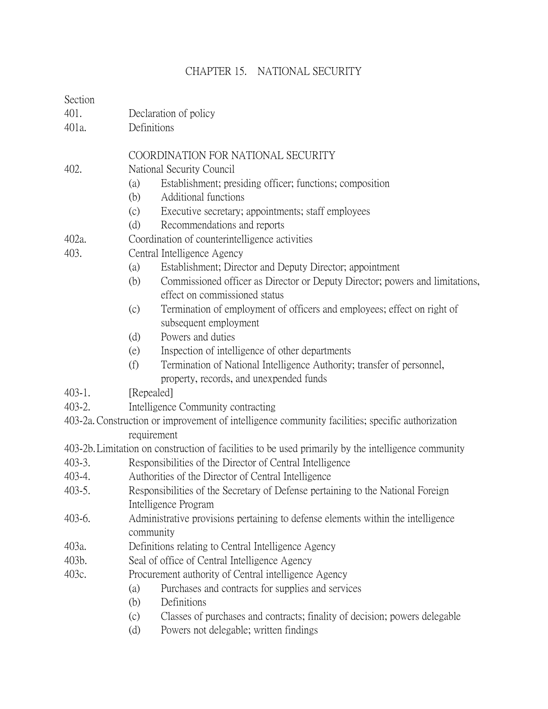## CHAPTER 15. NATIONAL SECURITY

## **Section**

- 401. Declaration of policy
- 401a. Definitions

## COORDINATION FOR NATIONAL SECURITY

- 402. National Security Council
	- (a) Establishment; presiding officer; functions; composition
	- (b) Additional functions
	- (c) Executive secretary; appointments; staff employees
	- (d) Recommendations and reports
- 402a. Coordination of counterintelligence activities
- 403. Central Intelligence Agency
	- (a) Establishment; Director and Deputy Director; appointment
	- (b) Commissioned officer as Director or Deputy Director; powers and limitations, effect on commissioned status
	- (c) Termination of employment of officers and employees; effect on right of subsequent employment
	- (d) Powers and duties
	- (e) Inspection of intelligence of other departments
	- (f) Termination of National Intelligence Authority; transfer of personnel, property, records, and unexpended funds
- 403-1. [Repealed]
- 403-2. Intelligence Community contracting
- 403-2a.Construction or improvement of intelligence community facilities; specific authorization requirement
- 403-2b.Limitation on construction of facilities to be used primarily by the intelligence community
- 403-3. Responsibilities of the Director of Central Intelligence
- 403-4. Authorities of the Director of Central Intelligence
- 403-5. Responsibilities of the Secretary of Defense pertaining to the National Foreign Intelligence Program
- 403-6. Administrative provisions pertaining to defense elements within the intelligence community
- 403a. Definitions relating to Central Intelligence Agency
- 403b. Seal of office of Central Intelligence Agency
- 403c. Procurement authority of Central intelligence Agency
	- (a) Purchases and contracts for supplies and services
	- (b) Definitions
	- (c) Classes of purchases and contracts; finality of decision; powers delegable
	- (d) Powers not delegable; written findings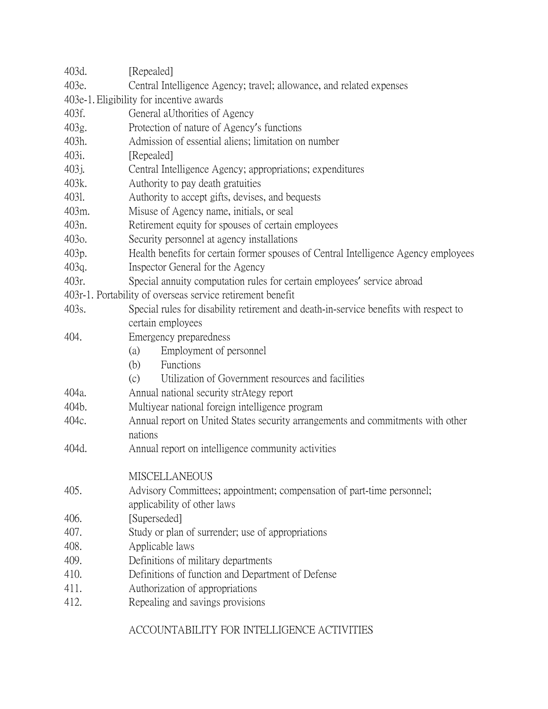| 403d.                                                      | [Repealed]                                                                            |  |  |
|------------------------------------------------------------|---------------------------------------------------------------------------------------|--|--|
| 403e.                                                      | Central Intelligence Agency; travel; allowance, and related expenses                  |  |  |
|                                                            | 403e-1. Eligibility for incentive awards                                              |  |  |
| 403f.                                                      | General aUthorities of Agency                                                         |  |  |
| 403g.                                                      | Protection of nature of Agency's functions                                            |  |  |
| 403h.                                                      | Admission of essential aliens; limitation on number                                   |  |  |
| 403i.                                                      | [Repealed]                                                                            |  |  |
| 403j.                                                      | Central Intelligence Agency; appropriations; expenditures                             |  |  |
| 403k.                                                      | Authority to pay death gratuities                                                     |  |  |
| 4031.                                                      | Authority to accept gifts, devises, and bequests                                      |  |  |
| 403m.                                                      | Misuse of Agency name, initials, or seal                                              |  |  |
| 403n.                                                      | Retirement equity for spouses of certain employees                                    |  |  |
| 403 <sub>o</sub> .                                         | Security personnel at agency installations                                            |  |  |
| 403p.                                                      | Health benefits for certain former spouses of Central Intelligence Agency employees   |  |  |
| 403q.                                                      | Inspector General for the Agency                                                      |  |  |
| 403r.                                                      | Special annuity computation rules for certain employees' service abroad               |  |  |
| 403r-1. Portability of overseas service retirement benefit |                                                                                       |  |  |
| 403s.                                                      | Special rules for disability retirement and death-in-service benefits with respect to |  |  |
|                                                            | certain employees                                                                     |  |  |
| 404.                                                       | Emergency preparedness                                                                |  |  |
|                                                            | Employment of personnel<br>(a)                                                        |  |  |
|                                                            | (b)<br>Functions                                                                      |  |  |
|                                                            | (c)<br>Utilization of Government resources and facilities                             |  |  |
| 404a.                                                      | Annual national security strAtegy report                                              |  |  |
| 404b.                                                      | Multiyear national foreign intelligence program                                       |  |  |
| 404c.                                                      | Annual report on United States security arrangements and commitments with other       |  |  |
|                                                            | nations                                                                               |  |  |
| 404d.                                                      | Annual report on intelligence community activities                                    |  |  |
|                                                            | <b>MISCELLANEOUS</b>                                                                  |  |  |
| 405.                                                       | Advisory Committees; appointment; compensation of part-time personnel;                |  |  |
|                                                            | applicability of other laws                                                           |  |  |
| 406.                                                       | [Superseded]                                                                          |  |  |
| 407.                                                       | Study or plan of surrender; use of appropriations                                     |  |  |
| 408.                                                       | Applicable laws                                                                       |  |  |
| 409.                                                       | Definitions of military departments                                                   |  |  |
| 410.                                                       | Definitions of function and Department of Defense                                     |  |  |
| 411.                                                       | Authorization of appropriations                                                       |  |  |
| 412.                                                       | Repealing and savings provisions                                                      |  |  |

ACCOUNTABILITY FOR INTELLIGENCE ACTIVITIES